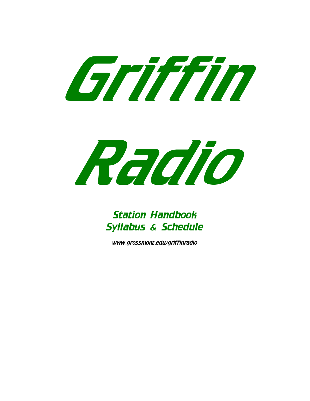



# Station Handbook Syllabus & Schedule

www.grossmont.edu/griffinradio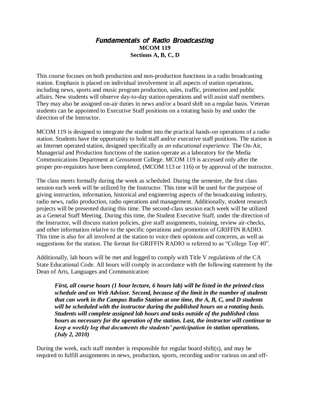## Fundamentals of Radio Broadcasting **MCOM 119 Sections A, B, C, D**

This course focuses on both production and non-production functions in a radio broadcasting station. Emphasis is placed on individual involvement in all aspects of station operations, including news, sports and music program production, sales, traffic, promotion and public affairs. New students will observe day-to-day station operations and will assist staff members. They may also be assigned on-air duties in news and/or a board shift on a regular basis. Veteran students can be appointed to Executive Staff positions on a rotating basis by and under the direction of the Instructor.

MCOM 119 is designed to integrate the student into the practical hands-on operations of a radio station. Students have the opportunity to hold staff and/or executive staff positions. The station is an Internet operated station, designed specifically as *an educational experience*. The On-Air, Managerial and Production functions of the station operate as a laboratory for the Media Communications Department at Grossmont College. MCOM 119 is accessed only after the proper pre-requisites have been completed, (MCOM 113 or 116) or by approval of the instructor.

The class meets formally during the week as scheduled. During the semester, the first class session each week will be utilized by the Instructor. This time will be used for the purpose of giving instruction, information, historical and engineering aspects of the broadcasting industry, radio news, radio production, radio operations and management. Additionally, student research projects will be presented during this time. The second-class session each week will be utilized as a General Staff Meeting. During this time, the Student Executive Staff, under the direction of the Instructor, will discuss station policies, give staff assignments, training, review air-checks, and other information relative to the specific operations and promotion of GRIFFIN RADIO. This time is also for all involved at the station to voice their opinions and concerns, as well as suggestions for the station. The format for GRIFFIN RADIO is referred to as "College Top 40".

Additionally, lab hours will be met and logged to comply with Title V regulations of the CA State Educational Code. All hours will comply in accordance with the following statement by the Dean of Arts, Languages and Communication:

*First, all course hours (1 hour lecture, 6 hours lab) will be listed in the printed class schedule and on Web Advisor. Second, because of the limit in the number of students that can work in the Campus Radio Station at one time, the A, B, C, and D students will be scheduled with the instructor during the published hours on a rotating basis. Students will complete assigned lab hours and tasks outside of the published class hours as necessary for the operation of the station. Last, the instructor will continue to keep a weekly log that documents the students' participation in station operations. (July 2, 2010)*

During the week, each staff member is responsible for regular board shift(s), and may be required to fulfill assignments in news, production, sports, recording and/or various on and off-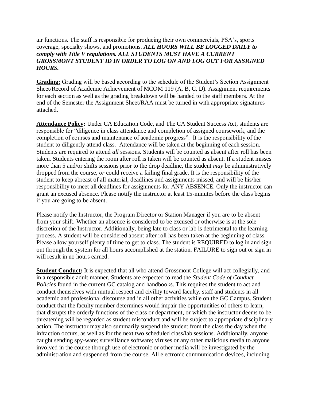air functions. The staff is responsible for producing their own commercials, PSA's, sports coverage, specialty shows, and promotions. *ALL HOURS WILL BE LOGGED DAILY to comply with Title V regulations. ALL STUDENTS MUST HAVE A CURRENT GROSSMONT STUDENT ID IN ORDER TO LOG ON AND LOG OUT FOR ASSIGNED HOURS.* 

**Grading:** Grading will be based according to the schedule of the Student's Section Assignment Sheet/Record of Academic Achievement of MCOM 119 (A, B, C, D). Assignment requirements for each section as well as the grading breakdown will be handed to the staff members. At the end of the Semester the Assignment Sheet/RAA must be turned in with appropriate signatures attached.

**Attendance Policy:** Under CA Education Code, and The CA Student Success Act, students are responsible for "diligence in class attendance and completion of assigned coursework, and the completion of courses and maintenance of academic progress". It is the responsibility of the student to diligently attend class. Attendance will be taken at the beginning of each session. Students are required to attend *all* sessions. Students will be counted as absent after roll has been taken. Students entering the room after roll is taken will be counted as absent. If a student misses more than 5 and/or shifts sessions prior to the drop deadline, the student *may* be administratively dropped from the course, *or* could receive a failing final grade. It is the responsibility of the student to keep abreast of all material, deadlines and assignments missed, and will be his/her responsibility to meet all deadlines for assignments for ANY ABSENCE. Only the instructor can grant an excused absence. Please notify the instructor at least 15-minutes before the class begins if you are going to be absent..

Please notify the Instructor, the Program Director or Station Manager if you are to be absent from your shift. Whether an absence is considered to be excused or otherwise is at the sole discretion of the Instructor. Additionally, being late to class or lab is detrimental to the learning process. A student will be considered absent after roll has been taken at the beginning of class. Please allow yourself plenty of time to get to class. The student is REQUIRED to log in and sign out through the system for all hours accomplished at the station. FAILURE to sign out or sign in will result in no hours earned.

**Student Conduct:** It is expected that all who attend Grossmont College will act collegially, and in a responsible adult manner. Students are expected to read the *Student Code of Conduct Policies* found in the current GC catalog and handbooks. This requires the student to act and conduct themselves with mutual respect and civility toward faculty, staff and students in all academic and professional discourse and in all other activities while on the GC Campus. Student conduct that the faculty member determines would impair the opportunities of others to learn, that disrupts the orderly functions of the class or department, or which the instructor deems to be threatening will be regarded as student misconduct and will be subject to appropriate disciplinary action. The instructor may also summarily suspend the student from the class the day when the infraction occurs, as well as for the next two scheduled class/lab sessions. Additionally, anyone caught sending spy-ware; surveillance software; viruses or any other malicious media to anyone involved in the course through use of electronic or other media will be investigated by the administration and suspended from the course. All electronic communication devices, including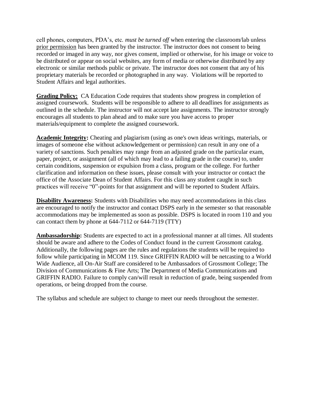cell phones, computers, PDA's, etc. *must be turned off* when entering the classroom/lab unless prior permission has been granted by the instructor. The instructor does not consent to being recorded or imaged in any way, nor gives consent, implied or otherwise, for his image or voice to be distributed or appear on social websites, any form of media or otherwise distributed by any electronic or similar methods public or private. The instructor does not consent that any of his proprietary materials be recorded or photographed in any way. Violations will be reported to Student Affairs and legal authorities.

**Grading Policy:** CA Education Code requires that students show progress in completion of assigned coursework. Students will be responsible to adhere to all deadlines for assignments as outlined in the schedule. The instructor will not accept late assignments. The instructor strongly encourages all students to plan ahead and to make sure you have access to proper materials/equipment to complete the assigned coursework.

**Academic Integrity:** Cheating and plagiarism (using as one's own ideas writings, materials, or images of someone else without acknowledgement or permission) can result in any one of a variety of sanctions. Such penalties may range from an adjusted grade on the particular exam, paper, project, or assignment (all of which may lead to a failing grade in the course) to, under certain conditions, suspension or expulsion from a class, program or the college. For further clarification and information on these issues, please consult with your instructor or contact the office of the Associate Dean of Student Affairs. For this class any student caught in such practices will receive "0"-points for that assignment and will be reported to Student Affairs.

**Disability Awareness:** Students with Disabilities who may need accommodations in this class are encouraged to notify the instructor and contact DSPS early in the semester so that reasonable accommodations may be implemented as soon as possible. DSPS is located in room 110 and you can contact them by phone at 644-7112 or 644-7119 (TTY)

**Ambassadorship:** Students are expected to act in a professional manner at all times. All students should be aware and adhere to the Codes of Conduct found in the current Grossmont catalog. Additionally, the following pages are the rules and regulations the students will be required to follow while participating in MCOM 119. Since GRIFFIN RADIO will be netcasting to a World Wide Audience, all On-Air Staff are considered to be Ambassadors of Grossmont College; The Division of Communications & Fine Arts; The Department of Media Communications and GRIFFIN RADIO. Failure to comply can/will result in reduction of grade, being suspended from operations, or being dropped from the course.

The syllabus and schedule are subject to change to meet our needs throughout the semester.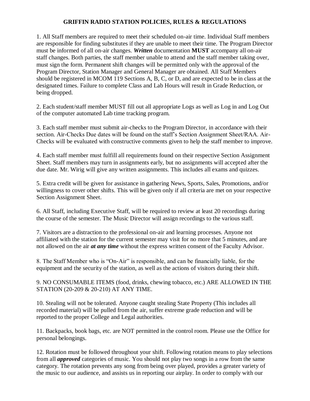## **GRIFFIN RADIO STATION POLICIES, RULES & REGULATIONS**

1. All Staff members are required to meet their scheduled on-air time. Individual Staff members are responsible for finding substitutes if they are unable to meet their time. The Program Director must be informed of all on-air changes. *Written* documentation **MUST** accompany all on-air staff changes. Both parties, the staff member unable to attend and the staff member taking over, must sign the form. Permanent shift changes will be permitted only with the approval of the Program Director, Station Manager and General Manager are obtained. All Staff Members should be registered in MCOM 119 Sections A, B, C, or D, and are expected to be in class at the designated times. Failure to complete Class and Lab Hours will result in Grade Reduction, or being dropped.

2. Each student/staff member MUST fill out all appropriate Logs as well as Log in and Log Out of the computer automated Lab time tracking program.

3. Each staff member must submit air-checks to the Program Director, in accordance with their section. Air-Checks Due dates will be found on the staff's Section Assignment Sheet/RAA. Air-Checks will be evaluated with constructive comments given to help the staff member to improve.

4. Each staff member must fulfill all requirements found on their respective Section Assignment Sheet. Staff members may turn in assignments early, but no assignments will accepted after the due date. Mr. Wirig will give any written assignments. This includes all exams and quizzes.

5. Extra credit will be given for assistance in gathering News, Sports, Sales, Promotions, and/or willingness to cover other shifts. This will be given only if all criteria are met on your respective Section Assignment Sheet.

6. All Staff, including Executive Staff, will be required to review at least 20 recordings during the course of the semester. The Music Director will assign recordings to the various staff.

7. Visitors are a distraction to the professional on-air and learning processes. Anyone not affiliated with the station for the current semester may visit for no more that 5 minutes, and are not allowed on the air *at any time* without the express written consent of the Faculty Advisor.

8. The Staff Member who is "On-Air" is responsible, and can be financially liable, for the equipment and the security of the station, as well as the actions of visitors during their shift.

9. NO CONSUMABLE ITEMS (food, drinks, chewing tobacco, etc.) ARE ALLOWED IN THE STATION (20-209 & 20-210) AT ANY TIME.

10. Stealing will not be tolerated. Anyone caught stealing State Property (This includes all recorded material) will be pulled from the air, suffer extreme grade reduction and will be reported to the proper College and Legal authorities.

11. Backpacks, book bags, etc. are NOT permitted in the control room. Please use the Office for personal belongings.

12. Rotation must be followed throughout your shift. Following rotation means to play selections from all *approved* categories of music. You should not play two songs in a row from the same category. The rotation prevents any song from being over played, provides a greater variety of the music to our audience, and assists us in reporting our airplay. In order to comply with our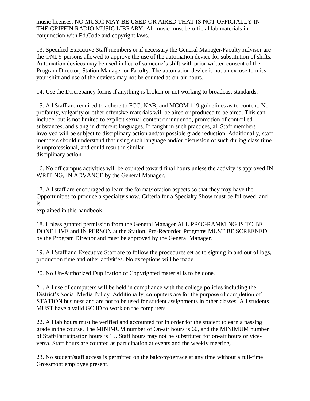music licenses, NO MUSIC MAY BE USED OR AIRED THAT IS NOT OFFICIALLY IN THE GRIFFIN RADIO MUSIC LIBRARY. All music must be official lab materials in conjunction with Ed.Code and copyright laws.

13. Specified Executive Staff members or if necessary the General Manager/Faculty Advisor are the ONLY persons allowed to approve the use of the automation device for substitution of shifts. Automation devices may be used in lieu of someone's shift with prior written consent of the Program Director, Station Manager or Faculty. The automation device is not an excuse to miss your shift and use of the devices may not be counted as on-air hours.

14. Use the Discrepancy forms if anything is broken or not working to broadcast standards.

15. All Staff are required to adhere to FCC, NAB, and MCOM 119 guidelines as to content. No profanity, vulgarity or other offensive materials will be aired or produced to be aired. This can include, but is not limited to explicit sexual content or innuendo, promotion of controlled substances, and slang in different languages. If caught in such practices, all Staff members involved will be subject to disciplinary action and/or possible grade reduction. Additionally, staff members should understand that using such language and/or discussion of such during class time is unprofessional, and could result in similar disciplinary action.

16. No off campus activities will be counted toward final hours unless the activity is approved IN WRITING, IN ADVANCE by the General Manager.

17. All staff are encouraged to learn the format/rotation aspects so that they may have the Opportunities to produce a specialty show. Criteria for a Specialty Show must be followed, and is

explained in this handbook.

18. Unless granted permission from the General Manager ALL PROGRAMMING IS TO BE DONE LIVE and IN PERSON at the Station. Pre-Recorded Programs MUST BE SCREENED by the Program Director and must be approved by the General Manager.

19. All Staff and Executive Staff are to follow the procedures set as to signing in and out of logs, production time and other activities. No exceptions will be made.

20. No Un-Authorized Duplication of Copyrighted material is to be done.

21. All use of computers will be held in compliance with the college policies including the District's Social Media Policy. Additionally, computers are for the purpose of completion of STATION business and are not to be used for student assignments in other classes. All students MUST have a valid GC ID to work on the computers.

22. All lab hours must be verified and accounted for in order for the student to earn a passing grade in the course. The MINIMUM number of On-air hours is 60, and the MINIMUM number of Staff/Participation hours is 15. Staff hours may not be substituted for on-air hours or viceversa. Staff hours are counted as participation at events and the weekly meeting.

23. No student/staff access is permitted on the balcony/terrace at any time without a full-time Grossmont employee present.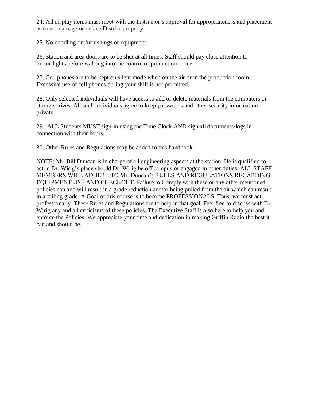24. All display items must meet with the Instructor's approval for appropriateness and placement as to not damage or deface District property.

25. No doodling on furnishings or equipment.

26. Station and area doors are to be shut at all times. Staff should pay close attention to on-air lights before walking into the control or production rooms.

27. Cell phones are to be kept on silent mode when on the air or in the production room. Excessive use of cell phones during your shift is not permitted.

28. Only selected individuals will have access to add or delete materials from the computers or storage drives. All such individuals agree to keep passwords and other security information private.

29. ALL Students MUST sign-in using the Time Clock AND sign all documents/logs in connection with their hours.

30. Other Rules and Regulations may be added to this handbook.

NOTE: Mr. Bill Duncan is in charge of all engineering aspects at the station. He is qualified to act in Dr. Wirig's place should Dr. Wirig be off campus or engaged in other duties. ALL STAFF MEMBERS WILL ADHERE TO Mr. Duncan's RULES AND REGULATIONS REGARDING EQUIPMENT USE AND CHECKOUT. Failure to Comply with these or any other mentioned policies can and will result in a grade reduction and/or being pulled from the air which can result in a failing grade. A Goal of this course is to become PROFESSIONALS. Thus, we must act professionally. These Rules and Regulations are to help in that goal. Feel free to discuss with Dr. Wirig any and all criticisms of these policies. The Executive Staff is also here to help you and enforce the Policies. We appreciate your time and dedication in making Griffin Radio the best it can and should be.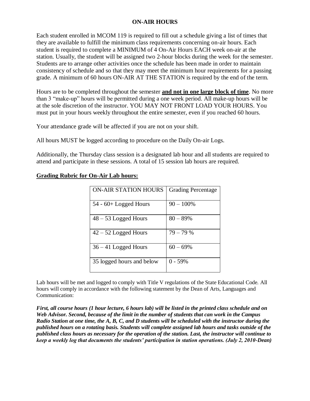## **ON-AIR HOURS**

Each student enrolled in MCOM 119 is required to fill out a schedule giving a list of times that they are available to fulfill the minimum class requirements concerning on-air hours. Each student is required to complete a MINIMUM of 4 On-Air Hours EACH week on-air at the station. Usually, the student will be assigned two 2-hour blocks during the week for the semester. Students are to arrange other activities once the schedule has been made in order to maintain consistency of schedule and so that they may meet the minimum hour requirements for a passing grade. A minimum of 60 hours ON-AIR AT THE STATION is required by the end of the term.

Hours are to be completed throughout the semester **and not in one large block of time**. No more than 3 "make-up" hours will be permitted during a one week period. All make-up hours will be at the sole discretion of the instructor. YOU MAY NOT FRONT LOAD YOUR HOURS. You must put in your hours weekly throughout the entire semester, even if you reached 60 hours.

Your attendance grade will be affected if you are not on your shift.

All hours MUST be logged according to procedure on the Daily On-air Logs.

Additionally, the Thursday class session is a designated lab hour and all students are required to attend and participate in these sessions. A total of 15 session lab hours are required.

| <b>ON-AIR STATION HOURS</b> | <b>Grading Percentage</b> |
|-----------------------------|---------------------------|
| $54 - 60 +$ Logged Hours    | $90 - 100\%$              |
| $48 - 53$ Logged Hours      | $80 - 89\%$               |
| $42 - 52$ Logged Hours      | $79 - 79%$                |
| $36 - 41$ Logged Hours      | $60 - 69\%$               |
| 35 logged hours and below   | $0 - 59\%$                |

## **Grading Rubric for On-Air Lab hours:**

Lab hours will be met and logged to comply with Title V regulations of the State Educational Code. All hours will comply in accordance with the following statement by the Dean of Arts, Languages and Communication:

*First, all course hours (1 hour lecture, 6 hours lab) will be listed in the printed class schedule and on Web Advisor. Second, because of the limit in the number of students that can work in the Campus Radio Station at one time, the A, B, C, and D students will be scheduled with the instructor during the published hours on a rotating basis. Students will complete assigned lab hours and tasks outside of the published class hours as necessary for the operation of the station. Last, the instructor will continue to keep a weekly log that documents the students' participation in station operations. (July 2, 2010-Dean)*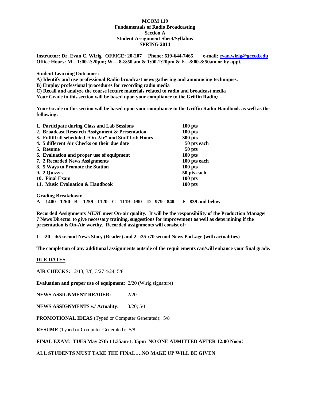### **MCOM 119 Fundamentals of Radio Broadcasting Section A Student Assignment Sheet/Syllabus SPRING 2014**

**Instructor: Dr. Evan C. Wirig OFFICE: 20-207 Phone: 619-644-7465 e-mail[: evan.wirig@gcccd.edu](mailto:evan.wirig@gcccd.edu) Office Hours: M – 1:00-2:20pm; W— 8-8:50 am & 1:00-2:20pm & F—8:00-8:50am or by appt.** 

**Student Learning Outcomes:**

**A) Identify and use professional Radio broadcast news gathering and announcing techniques.**

**B) Employ professional procedures for recording radio media**

**C) Recall and analyze the course lecture materials related to radio and broadcast media**

**Your Grade in this section will be based upon your compliance to the Griffin Radio***)*

**Your Grade in this section will be based upon your compliance to the Griffin Radio Handbook as well as the following:**

| 1. Participate during Class and Lab Sessions                   | $100$ pts           |
|----------------------------------------------------------------|---------------------|
| 2. Broadcast Research Assignment & Presentation                | $100$ pts           |
| 3. Fulfill all scheduled "On-Air" and Staff Lab Hours          | 300 pts             |
| 4. 5 different Air Checks on their due date                    | 50 pts each         |
| 5. Resume                                                      | 50 pts              |
| 6. Evaluation and proper use of equipment                      | $100$ pts           |
| 7. 2 Recorded News Assignments                                 | 100 pts each        |
| 8. 5 Ways to Promote the Station                               | $100$ pts           |
| 9. 2 Quizzes                                                   | 50 pts each         |
| 10. Final Exam                                                 | $100$ pts           |
| 11. Music Evaluation & Handbook                                | $100$ pts           |
| <b>Grading Breakdown:</b>                                      |                     |
| A= $1400 - 1260$ B= $1259 - 1120$ C= $1119 - 980$ D= 979 - 840 | $F = 839$ and below |

**Recorded Assignments** *MUST* **meet On-air quality. It will be the responsibility of the Production Manager 7 News Director to give necessary training, suggestions for improvement as well as determining if the presentation is On-Air worthy. Recorded assignments will consist of:**

**1- :20 - :65 second News Story (Reader) and 2- :35-:70 second News Package (with actualities)**

**The completion of any additional assignments outside of the requirements can/will enhance your final grade.**

#### **DUE DATES**:

**AIR CHECKS:** 2/13; 3/6; 3/27 4/24; 5/8

**Evaluation and proper use of equipment**: 2/20 (Wirig signature)

**NEWS ASSIGNMENT READER:** 2/20

**NEWS ASSIGNMENTS w/ Actuality:** 3/20; 5/1

**PROMOTIONAL IDEAS** (Typed or Computer Generated): 5/8

**RESUME** (Typed or Computer Generated): 5/8

### **FINAL EXAM**: **TUES May 27th 11:35am-1:35pm NO ONE ADMITTED AFTER 12:00 Noon!**

**ALL STUDENTS MUST TAKE THE FINAL….NO MAKE UP WILL BE GIVEN**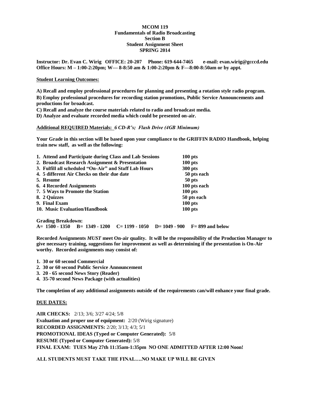### **MCOM 119 Fundamentals of Radio Broadcasting Section B Student Assignment Sheet SPRING 2014**

**Instructor: Dr. Evan C. Wirig OFFICE: 20-207 Phone: 619-644-7465 e-mail: evan.wirig@gcccd.edu Office Hours: M – 1:00-2:20pm; W— 8-8:50 am & 1:00-2:20pm & F—8:00-8:50am or by appt.**

### **Student Learning Outcomes:**

**A) Recall and employ professional procedures for planning and presenting a rotation style radio program.**

**B) Employ professional procedures for recording station promotions, Public Service Announcements and productions for broadcast.**

**C) Recall and analyze the course materials related to radio and broadcast media.**

**D) Analyze and evaluate recorded media which could be presented on-air.**

### **Additional REQUIRED Materials:** *6 CD-R's; Flash Drive (4GB Minimum)*

**Your Grade in this section will be based upon your compliance to the GRIFFIN RADIO Handbook, helping train new staff, as well as the following:**

| $100$ pts    |
|--------------|
| 300 pts      |
| 50 pts each  |
| 50 pts       |
| 100 pts each |
| $100$ pts    |
| 50 pts each  |
| $100$ pts    |
| $100$ pts    |
|              |
|              |

**Grading Breakdown: A= 1500 - 1350 B= 1349 - 1200 C= 1199 - 1050 D= 1049 - 900 F= 899 and below**

**Recorded Assignments** *MUST* **meet On-air quality. It will be the responsibility of the Production Manager to give necessary training, suggestions for improvement as well as determining if the presentation is On-Air worthy. Recorded assignments may consist of:**

- **1. 30 or 60 second Commercial**
- **2. 30 or 60 second Public Service Announcement**
- **3. 20 - 65 second News Story (Reader)**
- **4. 35-70 second News Package (with actualities)**

**The completion of any additional assignments outside of the requirements can/will enhance your final grade.**

#### **DUE DATES:**

**AIR CHECKS:** 2/13; 3/6; 3/27 4/24; 5/8 **Evaluation and proper use of equipment:** 2/20 (Wirig signature) **RECORDED ASSIGNMENTS:** 2/20; 3/13; 4/3; 5/1 **PROMOTIONAL IDEAS (Typed or Computer Generated):** 5/8 **RESUME (Typed or Computer Generated):** 5/8 **FINAL EXAM: TUES May 27th 11:35am-1:35pm NO ONE ADMITTED AFTER 12:00 Noon!**

**ALL STUDENTS MUST TAKE THE FINAL….NO MAKE UP WILL BE GIVEN**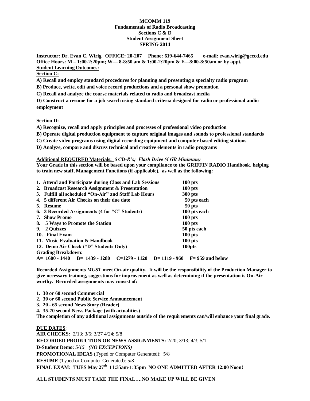### **MCOMM 119 Fundamentals of Radio Broadcasting Sections C & D Student Assignment Sheet SPRING 2014**

**Instructor: Dr. Evan C. Wirig OFFICE: 20-207 Phone: 619-644-7465 e-mail: evan.wirig@gcccd.edu Office Hours: M – 1:00-2:20pm; W— 8-8:50 am & 1:00-2:20pm & F—8:00-8:50am or by appt. Student Learning Outcomes:**

### **Section C:**

**A) Recall and employ standard procedures for planning and presenting a specialty radio program**

**B) Produce, write, edit and voice record productions and a personal show promotion**

**C) Recall and analyze the course materials related to radio and broadcast media**

**D) Construct a resume for a job search using standard criteria designed for radio or professional audio employment**

**Section D:**

**A) Recognize, recall and apply principles and processes of professional video production**

**B) Operate digital production equipment to capture original images and sounds to professional standards**

**C) Create video programs using digital recording equipment and computer based editing stations**

**D) Analyze, compare and discuss technical and creative elements in radio programs**

### **Additional REQUIRED Materials:** *6 CD-R's; Flash Drive (4 GB Minimum)*

**Your Grade in this section will be based upon your compliance to the GRIFFIN RADIO Handbook, helping to train new staff, Management Functions (if applicable), as well as the following:**

| 1. Attend and Participate during Class and Lab Sessions<br>$100$ pts         |  |  |
|------------------------------------------------------------------------------|--|--|
| $100$ pts                                                                    |  |  |
| 3. Fulfill all scheduled "On-Air" and Staff Lab Hours<br>300 pts             |  |  |
| 50 pts each                                                                  |  |  |
| 50 pts                                                                       |  |  |
| 100 pts each                                                                 |  |  |
| $100$ pts                                                                    |  |  |
| $100$ pts                                                                    |  |  |
| 50 pts each                                                                  |  |  |
| $100$ pts                                                                    |  |  |
| $100$ pts                                                                    |  |  |
| 100pts                                                                       |  |  |
|                                                                              |  |  |
| $A= 1600 - 1440$ B= 1439 - 1280 C=1279 - 1120 D= 1119 - 960 F= 959 and below |  |  |
|                                                                              |  |  |

**Recorded Assignments** *MUST* **meet On-air quality. It will be the responsibility of the Production Manager to give necessary training, suggestions for improvement as well as determining if the presentation is On-Air worthy. Recorded assignments may consist of:**

**1. 30 or 60 second Commercial**

**2. 30 or 60 second Public Service Announcement**

**3. 20 - 65 second News Story (Reader)**

**4. 35-70 second News Package (with actualities)**

**The completion of any additional assignments outside of the requirements can/will enhance your final grade.**

**DUE DATES**: **AIR CHECKS:** 2/13; 3/6; 3/27 4/24; 5/8 **RECORDED PRODUCTION OR NEWS ASSIGNMENTS:** 2/20; 3/13; 4/3; 5/1 **D-Student Demo:** *5/15 (NO EXCEPTIONS)* **PROMOTIONAL IDEAS** (Typed or Computer Generated): 5/8 **RESUME** (Typed or Computer Generated): 5/8 **FINAL EXAM: TUES May 27th 11:35am-1:35pm NO ONE ADMITTED AFTER 12:00 Noon!**

**ALL STUDENTS MUST TAKE THE FINAL….NO MAKE UP WILL BE GIVEN**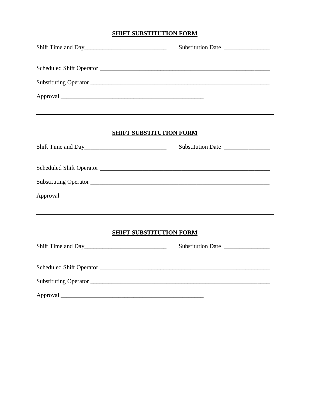## **SHIFT SUBSTITUTION FORM**

| Shift Time and Day | Substitution Date              |
|--------------------|--------------------------------|
|                    |                                |
|                    |                                |
|                    |                                |
|                    | <b>SHIFT SUBSTITUTION FORM</b> |
|                    | Substitution Date              |
|                    |                                |
|                    |                                |
|                    |                                |
|                    | <b>SHIFT SUBSTITUTION FORM</b> |
| Shift Time and Day | Substitution Date              |
|                    |                                |
|                    |                                |
|                    |                                |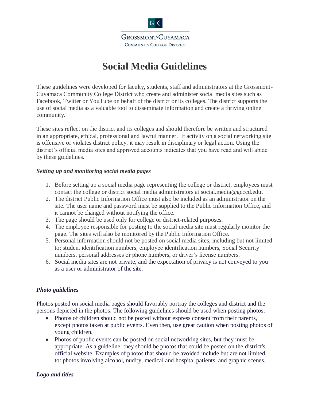

 $G$   $\left($ 

# **Social Media Guidelines**

These guidelines were developed for faculty, students, staff and administrators at the Grossmont-Cuyamaca Community College District who create and administer social media sites such as Facebook, Twitter or YouTube on behalf of the district or its colleges. The district supports the use of social media as a valuable tool to disseminate information and create a thriving online community.

These sites reflect on the district and its colleges and should therefore be written and structured in an appropriate, ethical, professional and lawful manner. If activity on a social networking site is offensive or violates district policy, it may result in disciplinary or legal action. Using the district's official media sites and approved accounts indicates that you have read and will abide by these guidelines.

### *Setting up and monitoring social media pages*

- 1. Before setting up a social media page representing the college or district, employees must contact the college or district social media administrators at social.media@gcccd.edu.
- 2. The district Public Information Office must also be included as an administrator on the site. The user name and password must be supplied to the Public Information Office, and it cannot be changed without notifying the office.
- 3. The page should be used only for college or district-related purposes.
- 4. The employee responsible for posting to the social media site must regularly monitor the page. The sites will also be monitored by the Public Information Office.
- 5. Personal information should not be posted on social media sites, including but not limited to: student identification numbers, employee identification numbers, Social Security numbers, personal addresses or phone numbers, or driver's license numbers.
- 6. Social media sites are not private, and the expectation of privacy is not conveyed to you as a user or administrator of the site.

## *Photo guidelines*

Photos posted on social media pages should favorably portray the colleges and district and the persons depicted in the photos. The following guidelines should be used when posting photos:

- Photos of children should not be posted without express consent from their parents, except photos taken at public events. Even then, use great caution when posting photos of young children.
- Photos of public events can be posted on social networking sites, but they must be appropriate. As a guideline, they should be photos that could be posted on the district's official website. Examples of photos that should be avoided include but are not limited to: photos involving alcohol, nudity, medical and hospital patients, and graphic scenes.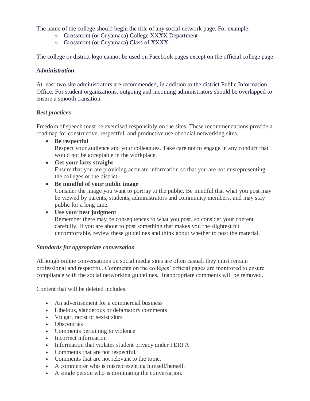The name of the college should begin the title of any social network page. For example:

- o Grossmont (or Cuyamaca) College XXXX Department
- o Grossmont (or Cuyamaca) Class of XXXX

The college or district logo cannot be used on Facebook pages except on the official college page.

### *Administration*

At least two site administrators are recommended, in addition to the district Public Information Office. For student organizations, outgoing and incoming administrators should be overlapped to ensure a smooth transition.

### *Best practices*

Freedom of speech must be exercised responsibly on the sites. These recommendations provide a roadmap for constructive, respectful, and productive use of social networking sites.

- **Be respectful**  Respect your audience and your colleagues. Take care not to engage in any conduct that would not be acceptable in the workplace.
- **Get your facts straight** Ensure that you are providing accurate information so that you are not misrepresenting the colleges or the district.
- **Be mindful of your public image** Consider the image you want to portray to the public. Be mindful that what you post may be viewed by parents, students, administrators and community members, and may stay public for a long time.

 **Use your best judgment**  Remember there may be consequences to what you post, so consider your content carefully. If you are about to post something that makes you the slightest bit uncomfortable, review these guidelines and think about whether to post the material.

### *Standards for appropriate conversation*

Although online conversations on social media sites are often casual, they must remain professional and respectful. Comments on the colleges' official pages are monitored to ensure compliance with the social networking guidelines. Inappropriate comments will be removed.

Content that will be deleted includes:

- An advertisement for a commercial business
- Libelous, slanderous or defamatory comments
- Vulgar, racist or sexist slurs
- Obscenities
- Comments pertaining to violence
- Incorrect information
- Information that violates student privacy under FERPA
- Comments that are not respectful.
- Comments that are not relevant to the topic.
- A commenter who is misrepresenting himself/herself.
- A single person who is dominating the conversation.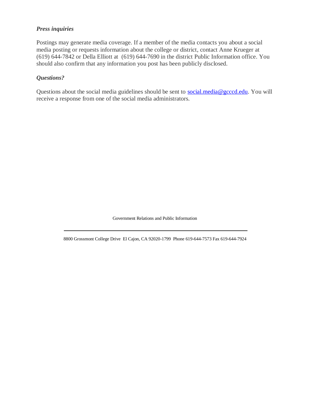### *Press inquiries*

Postings may generate media coverage. If a member of the media contacts you about a social media posting or requests information about the college or district, contact Anne Krueger at (619) 644-7842 or Della Elliott at (619) 644-7690 in the district Public Information office. You should also confirm that any information you post has been publicly disclosed.

### *Questions?*

Questions about the social media guidelines should be sent to [social.media@gcccd.edu.](mailto:social.media@gcccd.edu) You will receive a response from one of the social media administrators.

Government Relations and Public Information

8800 Grossmont College Drive El Cajon, CA 92020-1799 Phone 619-644-7573 Fax 619-644-7924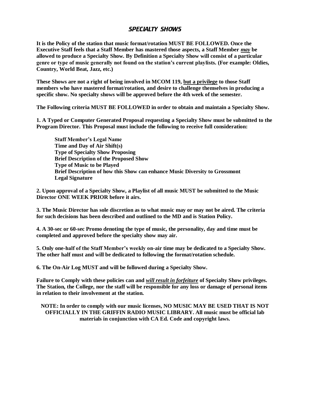## SPECIALTY SHOWS

**It is the Policy of the station that music format/rotation MUST BE FOLLOWED. Once the Executive Staff feels that a Staff Member has mastered those aspects, a Staff Member** *may* **be allowed to produce a Specialty Show. By Definition a Specialty Show will consist of a particular genre or type of music generally not found on the station's current playlists. (For example: Oldies, Country, World Beat, Jazz, etc.)** 

**These Shows are not a right of being involved in MCOM 119, but a privilege to those Staff members who have mastered format/rotation, and desire to challenge themselves in producing a specific show. No specialty shows will be approved before the 4th week of the semester.**

**The Following criteria MUST BE FOLLOWED in order to obtain and maintain a Specialty Show.**

**1. A Typed or Computer Generated Proposal requesting a Specialty Show must be submitted to the Program Director. This Proposal must include the following to receive full consideration:**

**Staff Member's Legal Name Time and Day of Air Shift(s) Type of Specialty Show Proposing Brief Description of the Proposed Show Type of Music to be Played Brief Description of how this Show can enhance Music Diversity to Grossmont Legal Signature**

**2. Upon approval of a Specialty Show, a Playlist of all music MUST be submitted to the Music Director ONE WEEK PRIOR before it airs.**

**3. The Music Director has sole discretion as to what music may or may not be aired. The criteria for such decisions has been described and outlined to the MD and is Station Policy.**

**4. A 30-sec or 60-sec Promo denoting the type of music, the personality, day and time must be completed and approved before the specialty show may air.**

**5. Only one-half of the Staff Member's weekly on-air time may be dedicated to a Specialty Show. The other half must and will be dedicated to following the format/rotation schedule.**

**6. The On-Air Log MUST and will be followed during a Specialty Show.**

**Failure to Comply with these policies can and** *will result in forfeiture* **of Specialty Show privileges. The Station, the College, nor the staff will be responsible for any loss or damage of personal items in relation to their involvement at the station.**

**NOTE: In order to comply with our music licenses, NO MUSIC MAY BE USED THAT IS NOT OFFICIALLY IN THE GRIFFIN RADIO MUSIC LIBRARY. All music must be official lab materials in conjunction with CA Ed. Code and copyright laws.**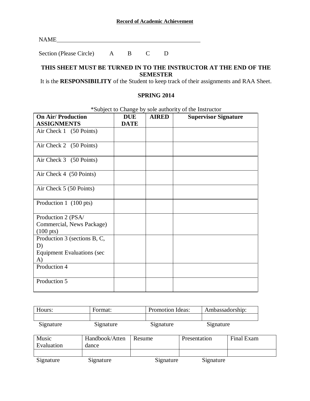|--|

Section (Please Circle) A B C D

## **THIS SHEET MUST BE TURNED IN TO THE INSTRUCTOR AT THE END OF THE SEMESTER**

It is the **RESPONSIBILITY** of the Student to keep track of their assignments and RAA Sheet.

## **SPRING 2014**

| <b>On Air/ Production</b>                                                     | <b>DUE</b>  | <b>AIRED</b> | Subject to Change by sole authority of the instructor<br><b>Supervisor Signature</b> |
|-------------------------------------------------------------------------------|-------------|--------------|--------------------------------------------------------------------------------------|
| <b>ASSIGNMENTS</b>                                                            | <b>DATE</b> |              |                                                                                      |
| Air Check 1 (50 Points)                                                       |             |              |                                                                                      |
| Air Check 2 (50 Points)                                                       |             |              |                                                                                      |
| Air Check 3 (50 Points)                                                       |             |              |                                                                                      |
| Air Check 4 (50 Points)                                                       |             |              |                                                                                      |
| Air Check 5 (50 Points)                                                       |             |              |                                                                                      |
| Production 1 (100 pts)                                                        |             |              |                                                                                      |
| Production 2 (PSA/<br>Commercial, News Package)<br>$(100 \text{ pts})$        |             |              |                                                                                      |
| Production 3 (sections B, C,<br>D)<br><b>Equipment Evaluations (sec</b><br>A) |             |              |                                                                                      |
| Production 4                                                                  |             |              |                                                                                      |
| Production 5                                                                  |             |              |                                                                                      |

\*Subject to Change by sole authority of the Instructor

| Hours:<br>Format: |           | <b>Promotion Ideas:</b> | Ambassadorship: |  |
|-------------------|-----------|-------------------------|-----------------|--|
|                   |           |                         |                 |  |
| Signature         | Signature | Signature               | Signature       |  |

| Music<br>Evaluation | Handbook/Atten<br>dance | Resume    | Presentation | Final Exam |
|---------------------|-------------------------|-----------|--------------|------------|
|                     |                         |           |              |            |
| Signature           | Signature               | Signature | Signature    |            |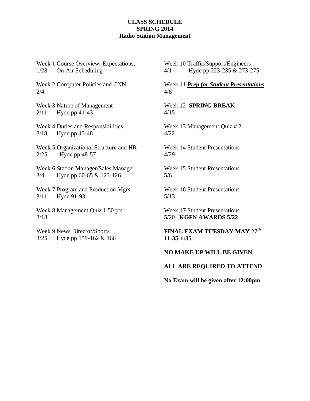### **CLASS SCHEDULE SPRING 2014 Radio Station Management**

Week 1 Course Overview, Expectations, 1/28 On-Air Scheduling

Week 2 Computer Policies and CNN 2/4

Week 3 Nature of Management 2/11 Hyde pp 41-43

Week 4 Duties and Responsibilities 2/18 Hyde pp 43-48

Week 5 Organizational Structure and HR 2/25 Hyde pp 48-57

Week 6 Station Manager/Sales Manager 3/4 Hyde pp 60-65 & 123-126

Week 7 Program and Production Mgrs 3/11 Hyde 91-93

Week 8 Management Quiz 1 50 pts 3/18

Week 9 News Director/Sports 3/25 Hyde pp 159-162 & 166 Week 10 Traffic/Support/Engineers 4/1 Hyde pp 223-235 & 273-275

Week 11 *Prep for Student Presentations* 4/8

Week 12 **SPRING BREAK** 4/15

Week 13 Management Quiz # 2 4/22

Week 14 Student Presentations 4/29

Week 15 Student Presentations 5/6

Week 16 Student Presentations 5/13

Week 17 Student Presentations 5/20 **KGFN AWARDS 5/22**

**FINAL EXAM TUESDAY MAY 27 th 11:35-1:35**

**NO MAKE UP WILL BE GIVEN** 

**ALL ARE REQUIRED TO ATTEND** 

**No Exam will be given after 12:00pm**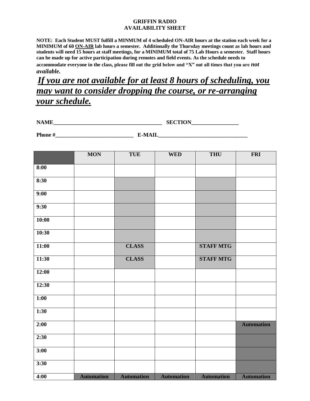### **GRIFFIN RADIO AVAILABILITY SHEET**

**NOTE: Each Student MUST fulfill a MINMUM of 4 scheduled ON-AIR hours at the station each week for a MINIMUM of 60 ON-AIR lab hours a semester. Additionally the Thursday meetings count as lab hours and students will need 15 hours at staff meetings, for a MINIMUM total of 75 Lab Hours a semester. Staff hours can be made up for active participation during remotes and field events. As the schedule needs to accommodate everyone in the class, please fill out the grid below and "X" out all times that you are** *not available.*

*If you are not available for at least 8 hours of scheduling, you may want to consider dropping the course, or re-arranging your schedule.*

| .<br>$\mathbf{N}$<br>.<br>----<br>___ | CECTION<br>ັບມ<br>----<br>______ |  |
|---------------------------------------|----------------------------------|--|
|                                       |                                  |  |

| Dl               | <b>ELATIT</b> |
|------------------|---------------|
|                  | N.            |
| . <i></i><br>___ |               |

|       | <b>MON</b>        | <b>TUE</b>        | <b>WED</b>        | <b>THU</b>        | <b>FRI</b>        |
|-------|-------------------|-------------------|-------------------|-------------------|-------------------|
| 8:00  |                   |                   |                   |                   |                   |
| 8:30  |                   |                   |                   |                   |                   |
| 9:00  |                   |                   |                   |                   |                   |
| 9:30  |                   |                   |                   |                   |                   |
| 10:00 |                   |                   |                   |                   |                   |
| 10:30 |                   |                   |                   |                   |                   |
| 11:00 |                   | <b>CLASS</b>      |                   | <b>STAFF MTG</b>  |                   |
| 11:30 |                   | <b>CLASS</b>      |                   | <b>STAFF MTG</b>  |                   |
| 12:00 |                   |                   |                   |                   |                   |
| 12:30 |                   |                   |                   |                   |                   |
| 1:00  |                   |                   |                   |                   |                   |
| 1:30  |                   |                   |                   |                   |                   |
| 2:00  |                   |                   |                   |                   | <b>Automation</b> |
| 2:30  |                   |                   |                   |                   |                   |
| 3:00  |                   |                   |                   |                   |                   |
| 3:30  |                   |                   |                   |                   |                   |
| 4:00  | <b>Automation</b> | <b>Automation</b> | <b>Automation</b> | <b>Automation</b> | <b>Automation</b> |